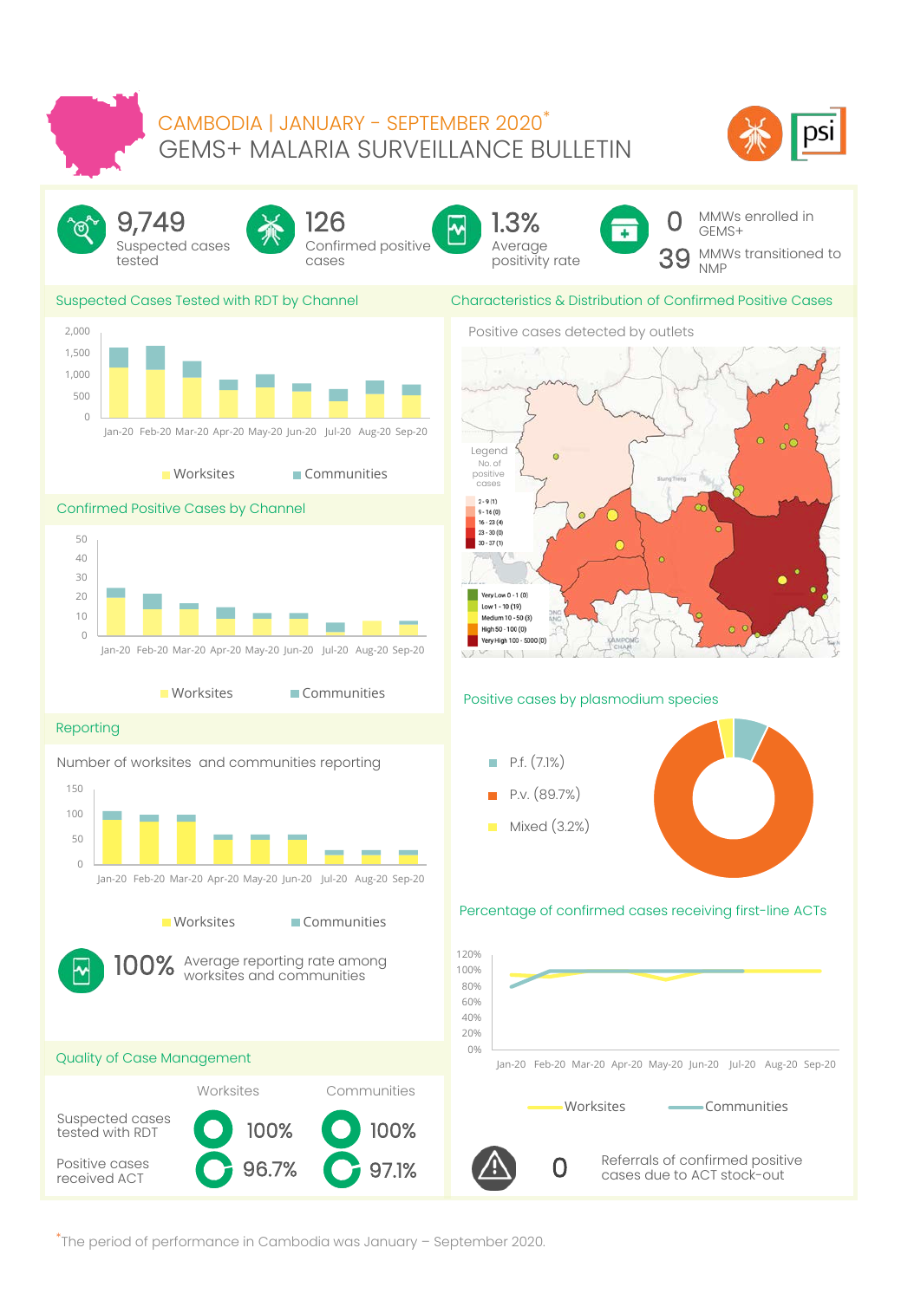## GEMS+ MALARIA SURVEILLANCE BULLETIN CAMBODIA | JANUARY - SEPTEMBER 2020\*





\*The period of performance in Cambodia was January – September 2020.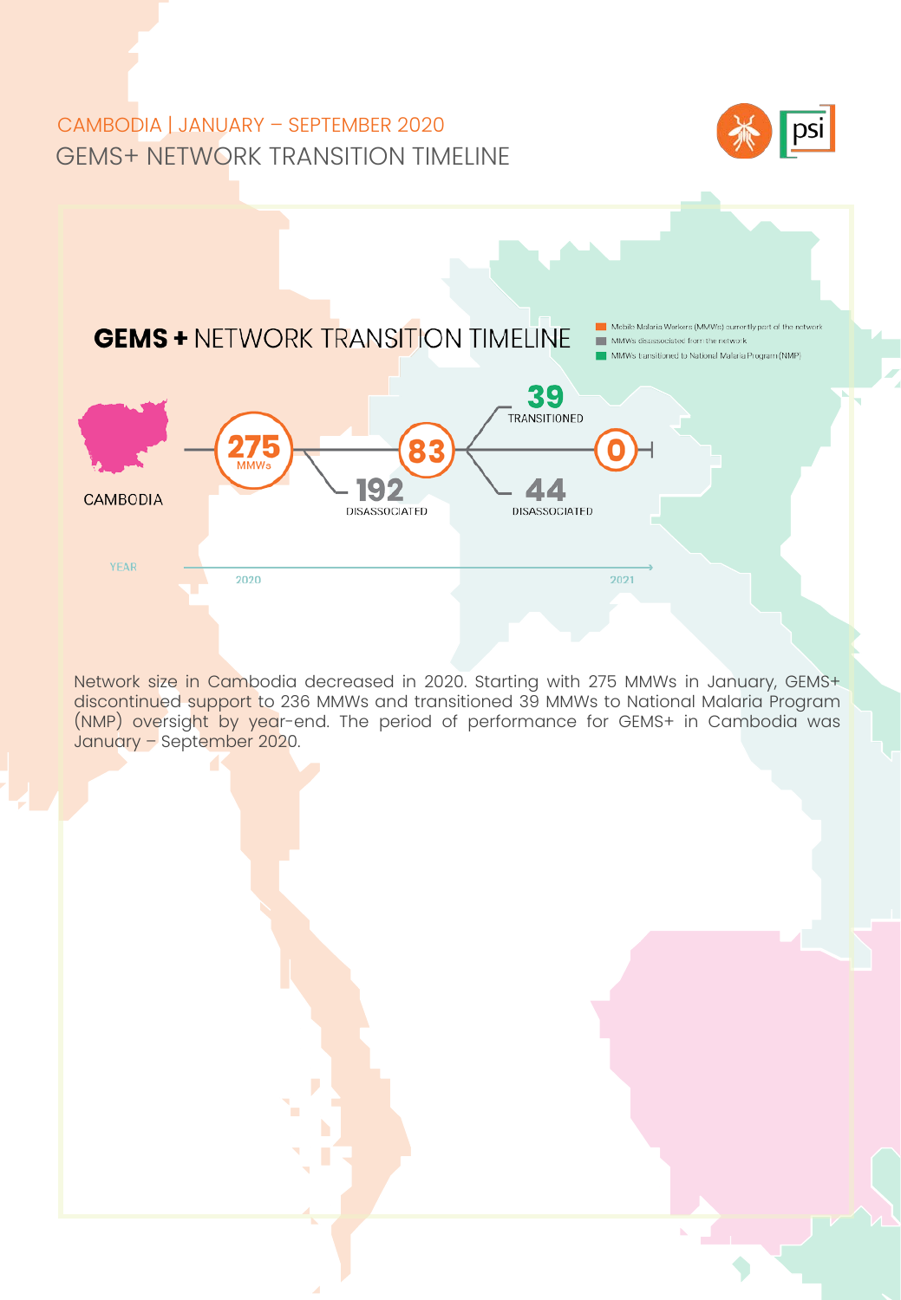# GEMS+ NETWORK TRANSITION TIMELINE CAMBODIA | JANUARY – SEPTEMBER 2020





alscontinued support to 236 Minivis and transitioned 39 Minivis to National Maland Program<br>(NMP) oversight by year-end. The period of performance for GEMS+ in Cambodia was Network size in Cambodia decreased in 2020. Starting with 275 MMWs in January, GEMS+ discontinued support to 236 MMWs and transitioned 39 MMWs to National Malaria Program January – September 2020.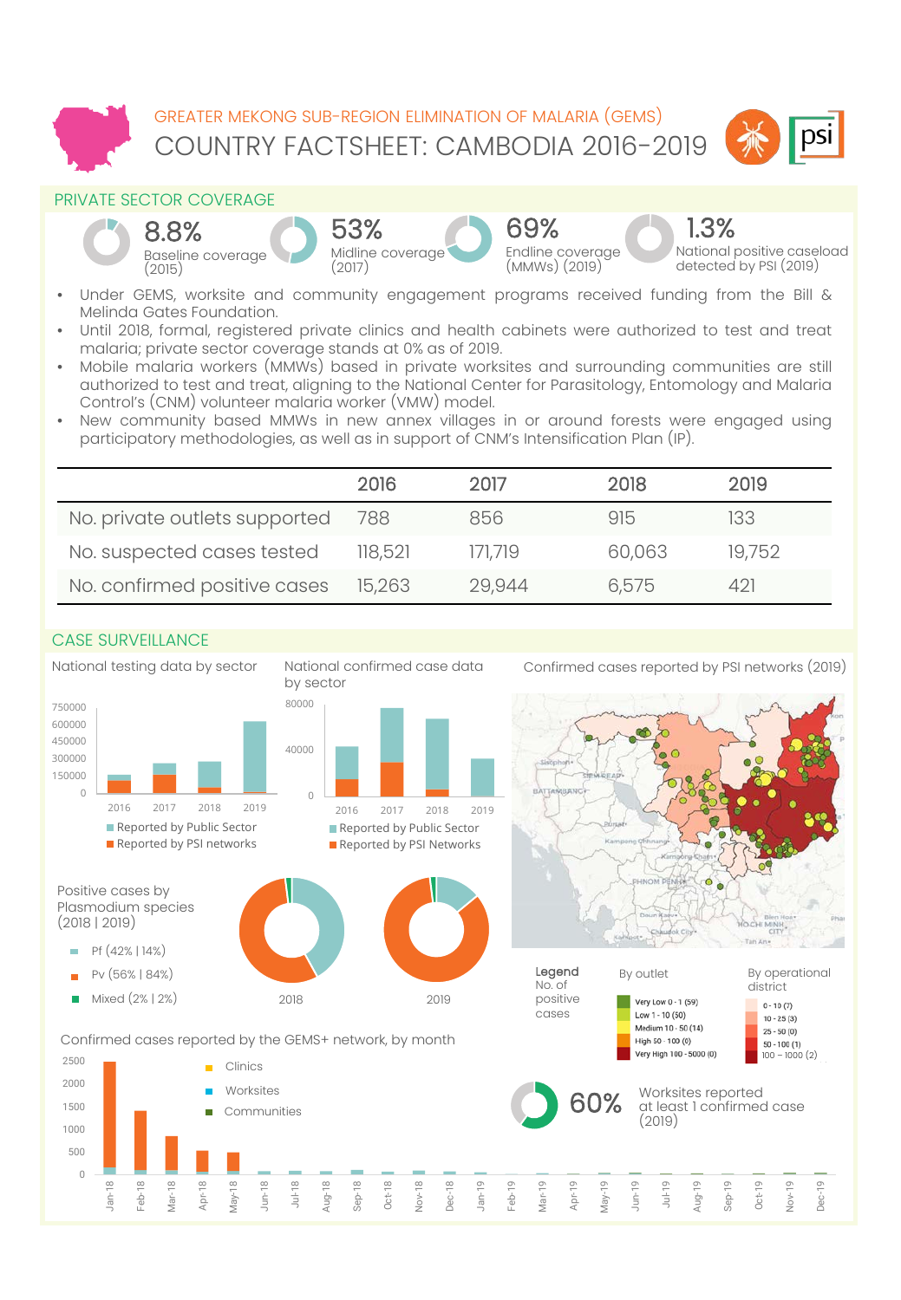



#### PRIVATE SECTOR COVERAGE



National positive caseload detected by PSI (2019)

1.3%

- Under GEMS, worksite and community engagement programs received funding from the Bill & Melinda Gates Foundation.
- Until 2018, formal, registered private clinics and health cabinets were authorized to test and treat malaria; private sector coverage stands at 0% as of 2019.
- Mobile malaria workers (MMWs) based in private worksites and surrounding communities are still authorized to test and treat, aligning to the National Center for Parasitology, Entomology and Malaria Control's (CNM) volunteer malaria worker (VMW) model.
- New community based MMWs in new annex villages in or around forests were engaged using participatory methodologies, as well as in support of CNM's Intensification Plan (IP).

|                               | 2016    | 2017    | 2018   | 2019   |
|-------------------------------|---------|---------|--------|--------|
| No. private outlets supported | 788     | 856     | 915    | 133    |
| No. suspected cases tested    | 118,521 | 171.719 | 60,063 | 19,752 |
| No. confirmed positive cases  | 15,263  | 29.944  | 6.575  | 421    |

### CASE SURVEILLANCE